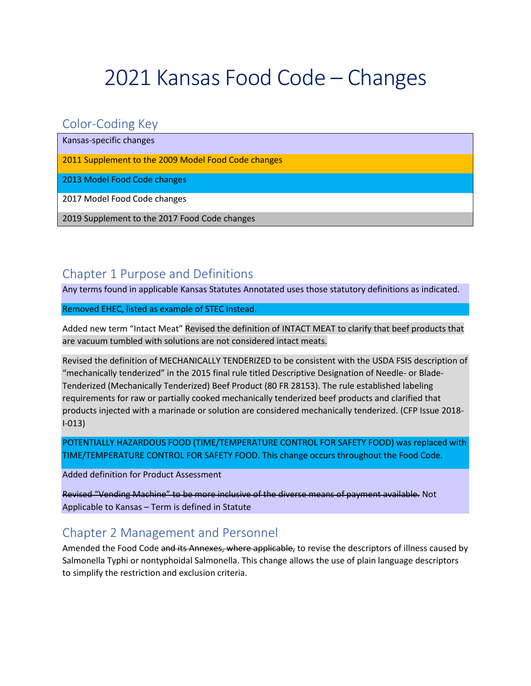# 2021 Kansas Food Code – Changes

## Color-Coding Key

Kansas-specific changes

2011 Supplement to the 2009 Model Food Code changes

2013 Model Food Code changes

2017 Model Food Code changes

2019 Supplement to the 2017 Food Code changes

# Chapter 1 Purpose and Definitions

Any terms found in applicable Kansas Statutes Annotated uses those statutory definitions as indicated.

Removed EHEC, listed as example of STEC instead.

Added new term "Intact Meat" Revised the definition of INTACT MEAT to clarify that beef products that are vacuum tumbled with solutions are not considered intact meats.

Revised the definition of MECHANICALLY TENDERIZED to be consistent with the USDA FSIS description of "mechanically tenderized" in the 2015 final rule titled Descriptive Designation of Needle- or Blade-Tenderized (Mechanically Tenderized) Beef Product (80 FR 28153). The rule established labeling requirements for raw or partially cooked mechanically tenderized beef products and clarified that products injected with a marinade or solution are considered mechanically tenderized. (CFP Issue 2018- I-013)

POTENTIALLY HAZARDOUS FOOD (TIME/TEMPERATURE CONTROL FOR SAFETY FOOD) was replaced with TIME/TEMPERATURE CONTROL FOR SAFETY FOOD. This change occurs throughout the Food Code.

Added definition for Product Assessment

Revised "Vending Machine" to be more inclusive of the diverse means of payment available. Not Applicable to Kansas – Term is defined in Statute

# Chapter 2 Management and Personnel

Amended the Food Code and its Annexes, where applicable, to revise the descriptors of illness caused by Salmonella Typhi or nontyphoidal Salmonella. This change allows the use of plain language descriptors to simplify the restriction and exclusion criteria.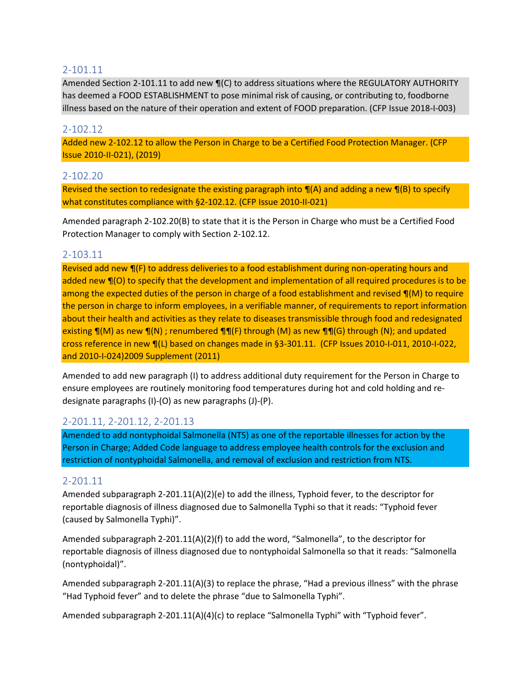### 2-101.11

Amended Section 2-101.11 to add new  $\P(C)$  to address situations where the REGULATORY AUTHORITY has deemed a FOOD ESTABLISHMENT to pose minimal risk of causing, or contributing to, foodborne illness based on the nature of their operation and extent of FOOD preparation. (CFP Issue 2018-I-003)

#### 2-102.12

Added new 2-102.12 to allow the Person in Charge to be a Certified Food Protection Manager. (CFP Issue 2010-II-021), (2019)

#### 2-102.20

Revised the section to redesignate the existing paragraph into  $\P(A)$  and adding a new  $\P(B)$  to specify what constitutes compliance with §2-102.12. (CFP Issue 2010-II-021)

Amended paragraph 2-102.20(B) to state that it is the Person in Charge who must be a Certified Food Protection Manager to comply with Section 2-102.12.

#### 2-103.11

Revised add new  $\P(F)$  to address deliveries to a food establishment during non-operating hours and added new ¶(O) to specify that the development and implementation of all required procedures is to be among the expected duties of the person in charge of a food establishment and revised  $\P(M)$  to require the person in charge to inform employees, in a verifiable manner, of requirements to report information about their health and activities as they relate to diseases transmissible through food and redesignated existing  $\P(M)$  as new  $\P(N)$ ; renumbered  $\P(\Gamma)$  through  $(M)$  as new  $\P(\Gamma)$  through  $(N)$ ; and updated cross reference in new ¶(L) based on changes made in §3-301.11. (CFP Issues 2010-I-011, 2010-I-022, and 2010-I-024)2009 Supplement (2011)

Amended to add new paragraph (I) to address additional duty requirement for the Person in Charge to ensure employees are routinely monitoring food temperatures during hot and cold holding and redesignate paragraphs (I)-(O) as new paragraphs (J)-(P).

#### 2-201.11, 2-201.12, 2-201.13

Amended to add nontyphoidal Salmonella (NTS) as one of the reportable illnesses for action by the Person in Charge; Added Code language to address employee health controls for the exclusion and restriction of nontyphoidal Salmonella, and removal of exclusion and restriction from NTS.

#### 2-201.11

Amended subparagraph 2-201.11(A)(2)(e) to add the illness, Typhoid fever, to the descriptor for reportable diagnosis of illness diagnosed due to Salmonella Typhi so that it reads: "Typhoid fever (caused by Salmonella Typhi)".

Amended subparagraph 2-201.11(A)(2)(f) to add the word, "Salmonella", to the descriptor for reportable diagnosis of illness diagnosed due to nontyphoidal Salmonella so that it reads: "Salmonella (nontyphoidal)".

Amended subparagraph 2-201.11(A)(3) to replace the phrase, "Had a previous illness" with the phrase "Had Typhoid fever" and to delete the phrase "due to Salmonella Typhi".

Amended subparagraph 2-201.11(A)(4)(c) to replace "Salmonella Typhi" with "Typhoid fever".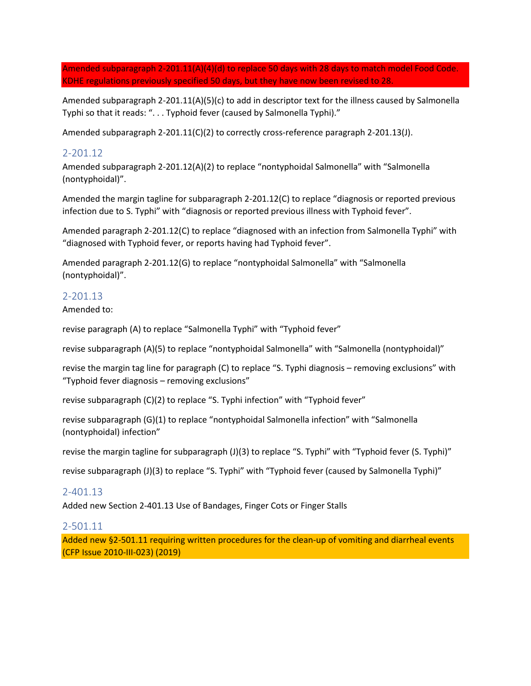Amended subparagraph 2-201.11(A)(4)(d) to replace 50 days with 28 days to match model Food Code. KDHE regulations previously specified 50 days, but they have now been revised to 28.

Amended subparagraph 2-201.11(A)(5)(c) to add in descriptor text for the illness caused by Salmonella Typhi so that it reads: ". . . Typhoid fever (caused by Salmonella Typhi)."

Amended subparagraph 2-201.11(C)(2) to correctly cross-reference paragraph 2-201.13(J).

#### 2-201.12

Amended subparagraph 2-201.12(A)(2) to replace "nontyphoidal Salmonella" with "Salmonella (nontyphoidal)".

Amended the margin tagline for subparagraph 2-201.12(C) to replace "diagnosis or reported previous infection due to S. Typhi" with "diagnosis or reported previous illness with Typhoid fever".

Amended paragraph 2-201.12(C) to replace "diagnosed with an infection from Salmonella Typhi" with "diagnosed with Typhoid fever, or reports having had Typhoid fever".

Amended paragraph 2-201.12(G) to replace "nontyphoidal Salmonella" with "Salmonella (nontyphoidal)".

#### 2-201.13

Amended to:

revise paragraph (A) to replace "Salmonella Typhi" with "Typhoid fever"

revise subparagraph (A)(5) to replace "nontyphoidal Salmonella" with "Salmonella (nontyphoidal)"

revise the margin tag line for paragraph (C) to replace "S. Typhi diagnosis – removing exclusions" with "Typhoid fever diagnosis – removing exclusions"

revise subparagraph (C)(2) to replace "S. Typhi infection" with "Typhoid fever"

revise subparagraph (G)(1) to replace "nontyphoidal Salmonella infection" with "Salmonella (nontyphoidal) infection"

revise the margin tagline for subparagraph (J)(3) to replace "S. Typhi" with "Typhoid fever (S. Typhi)"

revise subparagraph (J)(3) to replace "S. Typhi" with "Typhoid fever (caused by Salmonella Typhi)"

#### 2-401.13

Added new Section 2-401.13 Use of Bandages, Finger Cots or Finger Stalls

#### 2-501.11

Added new §2-501.11 requiring written procedures for the clean-up of vomiting and diarrheal events (CFP Issue 2010-III-023) (2019)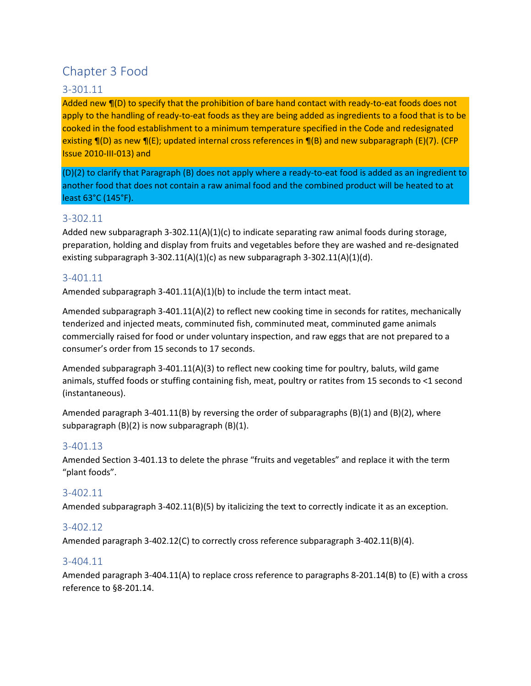# Chapter 3 Food

### 3-301.11

Added new ¶(D) to specify that the prohibition of bare hand contact with ready-to-eat foods does not apply to the handling of ready-to-eat foods as they are being added as ingredients to a food that is to be cooked in the food establishment to a minimum temperature specified in the Code and redesignated existing ¶(D) as new ¶(E); updated internal cross references in ¶(B) and new subparagraph (E)(7). (CFP Issue 2010-III-013) and

(D)(2) to clarify that Paragraph (B) does not apply where a ready-to-eat food is added as an ingredient to another food that does not contain a raw animal food and the combined product will be heated to at least 63°C (145°F).

#### 3-302.11

Added new subparagraph 3-302.11(A)(1)(c) to indicate separating raw animal foods during storage, preparation, holding and display from fruits and vegetables before they are washed and re-designated existing subparagraph 3-302.11(A)(1)(c) as new subparagraph 3-302.11(A)(1)(d).

#### 3-401.11

Amended subparagraph  $3-401.11(A)(1)(b)$  to include the term intact meat.

Amended subparagraph 3-401.11(A)(2) to reflect new cooking time in seconds for ratites, mechanically tenderized and injected meats, comminuted fish, comminuted meat, comminuted game animals commercially raised for food or under voluntary inspection, and raw eggs that are not prepared to a consumer's order from 15 seconds to 17 seconds.

Amended subparagraph 3-401.11(A)(3) to reflect new cooking time for poultry, baluts, wild game animals, stuffed foods or stuffing containing fish, meat, poultry or ratites from 15 seconds to <1 second (instantaneous).

Amended paragraph 3-401.11(B) by reversing the order of subparagraphs  $(B)(1)$  and  $(B)(2)$ , where subparagraph (B)(2) is now subparagraph (B)(1).

#### 3-401.13

Amended Section 3-401.13 to delete the phrase "fruits and vegetables" and replace it with the term "plant foods".

### 3-402.11

Amended subparagraph 3-402.11(B)(5) by italicizing the text to correctly indicate it as an exception.

#### 3-402.12

Amended paragraph 3-402.12(C) to correctly cross reference subparagraph 3-402.11(B)(4).

#### 3-404.11

Amended paragraph 3-404.11(A) to replace cross reference to paragraphs 8-201.14(B) to (E) with a cross reference to §8-201.14.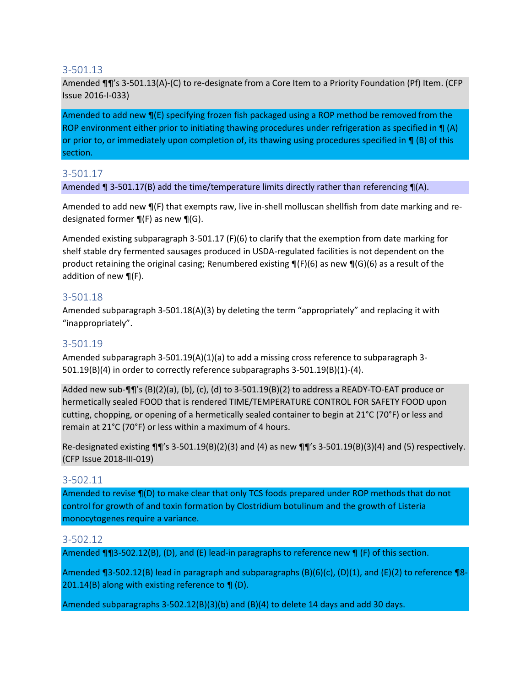#### 3-501.13

Amended ¶¶'s 3-501.13(A)-(C) to re-designate from a Core Item to a Priority Foundation (Pf) Item. (CFP Issue 2016-I-033)

Amended to add new  $\P(E)$  specifying frozen fish packaged using a ROP method be removed from the ROP environment either prior to initiating thawing procedures under refrigeration as specified in  $\P(A)$ or prior to, or immediately upon completion of, its thawing using procedures specified in  $\P$  (B) of this section.

#### 3-501.17

Amended ¶ 3-501.17(B) add the time/temperature limits directly rather than referencing ¶(A).

Amended to add new  $\P(F)$  that exempts raw, live in-shell molluscan shellfish from date marking and redesignated former  $\P(F)$  as new  $\P(G)$ .

Amended existing subparagraph 3-501.17 (F)(6) to clarify that the exemption from date marking for shelf stable dry fermented sausages produced in USDA-regulated facilities is not dependent on the product retaining the original casing; Renumbered existing  $\P(F)(6)$  as new  $\P(G)(6)$  as a result of the addition of new ¶(F).

#### 3-501.18

Amended subparagraph 3-501.18(A)(3) by deleting the term "appropriately" and replacing it with "inappropriately".

#### 3-501.19

Amended subparagraph 3-501.19(A)(1)(a) to add a missing cross reference to subparagraph 3-501.19(B)(4) in order to correctly reference subparagraphs 3-501.19(B)(1)-(4).

Added new sub-¶¶'s (B)(2)(a), (b), (c), (d) to 3-501.19(B)(2) to address a READY-TO-EAT produce or hermetically sealed FOOD that is rendered TIME/TEMPERATURE CONTROL FOR SAFETY FOOD upon cutting, chopping, or opening of a hermetically sealed container to begin at 21°C (70°F) or less and remain at 21°C (70°F) or less within a maximum of 4 hours.

Re-designated existing  $\P\P'$ 's 3-501.19(B)(2)(3) and (4) as new  $\P\P'$ 's 3-501.19(B)(3)(4) and (5) respectively. (CFP Issue 2018-III-019)

#### 3-502.11

Amended to revise ¶(D) to make clear that only TCS foods prepared under ROP methods that do not control for growth of and toxin formation by Clostridium botulinum and the growth of Listeria monocytogenes require a variance.

#### 3-502.12

Amended ¶¶3-502.12(B), (D), and (E) lead-in paragraphs to reference new ¶ (F) of this section.

Amended ¶3-502.12(B) lead in paragraph and subparagraphs  $(B)(6)(c)$ ,  $(D)(1)$ , and  $(E)(2)$  to reference ¶8-201.14(B) along with existing reference to  $\P$  (D).

Amended subparagraphs 3-502.12(B)(3)(b) and (B)(4) to delete 14 days and add 30 days.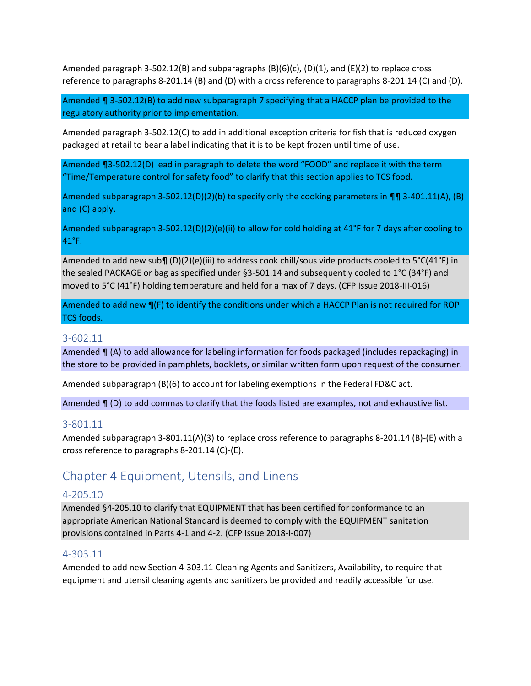Amended paragraph 3-502.12(B) and subparagraphs  $(B)(6)(c)$ ,  $(D)(1)$ , and  $(E)(2)$  to replace cross reference to paragraphs 8-201.14 (B) and (D) with a cross reference to paragraphs 8-201.14 (C) and (D).

Amended ¶ 3-502.12(B) to add new subparagraph 7 specifying that a HACCP plan be provided to the regulatory authority prior to implementation.

Amended paragraph 3-502.12(C) to add in additional exception criteria for fish that is reduced oxygen packaged at retail to bear a label indicating that it is to be kept frozen until time of use.

Amended ¶3-502.12(D) lead in paragraph to delete the word "FOOD" and replace it with the term "Time/Temperature control for safety food" to clarify that this section applies to TCS food.

Amended subparagraph 3-502.12(D)(2)(b) to specify only the cooking parameters in  $\P$ ] 3-401.11(A), (B) and (C) apply.

Amended subparagraph 3-502.12(D)(2)(e)(ii) to allow for cold holding at 41°F for 7 days after cooling to 41°F.

Amended to add new sub¶ (D)(2)(e)(iii) to address cook chill/sous vide products cooled to 5°C(41°F) in the sealed PACKAGE or bag as specified under §3-501.14 and subsequently cooled to 1°C (34°F) and moved to 5°C (41°F) holding temperature and held for a max of 7 days. (CFP Issue 2018-III-016)

Amended to add new  $\P(F)$  to identify the conditions under which a HACCP Plan is not required for ROP TCS foods.

#### 3-602.11

Amended ¶ (A) to add allowance for labeling information for foods packaged (includes repackaging) in the store to be provided in pamphlets, booklets, or similar written form upon request of the consumer.

Amended subparagraph (B)(6) to account for labeling exemptions in the Federal FD&C act.

Amended  $\P$  (D) to add commas to clarify that the foods listed are examples, not and exhaustive list.

#### 3-801.11

Amended subparagraph 3-801.11(A)(3) to replace cross reference to paragraphs 8-201.14 (B)-(E) with a cross reference to paragraphs 8-201.14 (C)-(E).

# Chapter 4 Equipment, Utensils, and Linens

#### 4-205.10

Amended §4-205.10 to clarify that EQUIPMENT that has been certified for conformance to an appropriate American National Standard is deemed to comply with the EQUIPMENT sanitation provisions contained in Parts 4-1 and 4-2. (CFP Issue 2018-I-007)

#### 4-303.11

Amended to add new Section 4-303.11 Cleaning Agents and Sanitizers, Availability, to require that equipment and utensil cleaning agents and sanitizers be provided and readily accessible for use.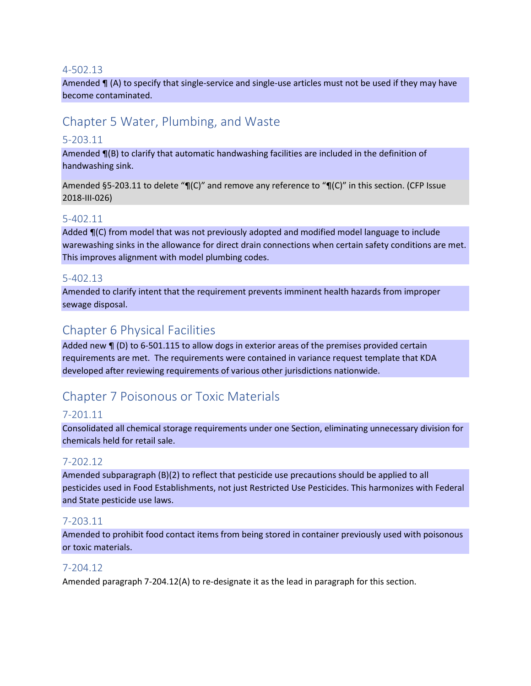#### 4-502.13

Amended  $\P$  (A) to specify that single-service and single-use articles must not be used if they may have become contaminated.

# Chapter 5 Water, Plumbing, and Waste

### 5-203.11

Amended ¶(B) to clarify that automatic handwashing facilities are included in the definition of handwashing sink.

Amended §5-203.11 to delete "¶(C)" and remove any reference to "¶(C)" in this section. (CFP Issue 2018-III-026)

#### 5-402.11

Added  $\P(C)$  from model that was not previously adopted and modified model language to include warewashing sinks in the allowance for direct drain connections when certain safety conditions are met. This improves alignment with model plumbing codes.

#### 5-402.13

Amended to clarify intent that the requirement prevents imminent health hazards from improper sewage disposal.

## Chapter 6 Physical Facilities

Added new ¶ (D) to 6-501.115 to allow dogs in exterior areas of the premises provided certain requirements are met. The requirements were contained in variance request template that KDA developed after reviewing requirements of various other jurisdictions nationwide.

# Chapter 7 Poisonous or Toxic Materials

#### 7-201.11

Consolidated all chemical storage requirements under one Section, eliminating unnecessary division for chemicals held for retail sale.

#### 7-202.12

Amended subparagraph (B)(2) to reflect that pesticide use precautions should be applied to all pesticides used in Food Establishments, not just Restricted Use Pesticides. This harmonizes with Federal and State pesticide use laws.

#### 7-203.11

Amended to prohibit food contact items from being stored in container previously used with poisonous or toxic materials.

#### 7-204.12

Amended paragraph 7-204.12(A) to re-designate it as the lead in paragraph for this section.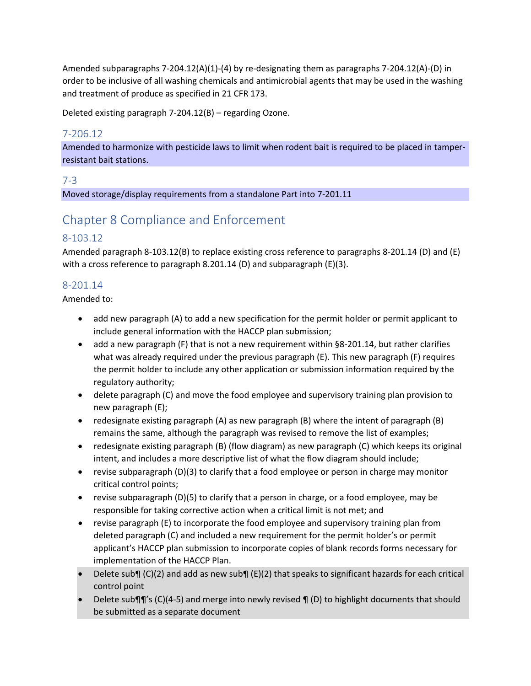Amended subparagraphs 7-204.12(A)(1)-(4) by re-designating them as paragraphs 7-204.12(A)-(D) in order to be inclusive of all washing chemicals and antimicrobial agents that may be used in the washing and treatment of produce as specified in 21 CFR 173.

Deleted existing paragraph 7-204.12(B) – regarding Ozone.

### 7-206.12

Amended to harmonize with pesticide laws to limit when rodent bait is required to be placed in tamperresistant bait stations.

#### 7-3

Moved storage/display requirements from a standalone Part into 7-201.11

# Chapter 8 Compliance and Enforcement

### 8-103.12

Amended paragraph 8-103.12(B) to replace existing cross reference to paragraphs 8-201.14 (D) and (E) with a cross reference to paragraph 8.201.14 (D) and subparagraph (E)(3).

### 8-201.14

Amended to:

- add new paragraph (A) to add a new specification for the permit holder or permit applicant to include general information with the HACCP plan submission;
- add a new paragraph (F) that is not a new requirement within §8-201.14, but rather clarifies what was already required under the previous paragraph (E). This new paragraph (F) requires the permit holder to include any other application or submission information required by the regulatory authority;
- delete paragraph (C) and move the food employee and supervisory training plan provision to new paragraph (E);
- redesignate existing paragraph (A) as new paragraph (B) where the intent of paragraph (B) remains the same, although the paragraph was revised to remove the list of examples;
- redesignate existing paragraph (B) (flow diagram) as new paragraph (C) which keeps its original intent, and includes a more descriptive list of what the flow diagram should include;
- revise subparagraph (D)(3) to clarify that a food employee or person in charge may monitor critical control points;
- revise subparagraph (D)(5) to clarify that a person in charge, or a food employee, may be responsible for taking corrective action when a critical limit is not met; and
- revise paragraph (E) to incorporate the food employee and supervisory training plan from deleted paragraph (C) and included a new requirement for the permit holder's or permit applicant's HACCP plan submission to incorporate copies of blank records forms necessary for implementation of the HACCP Plan.
- Delete sub¶ (C)(2) and add as new sub¶ (E)(2) that speaks to significant hazards for each critical control point
- Delete sub $\P$  $\parallel$ 's (C)(4-5) and merge into newly revised  $\P$  (D) to highlight documents that should be submitted as a separate document